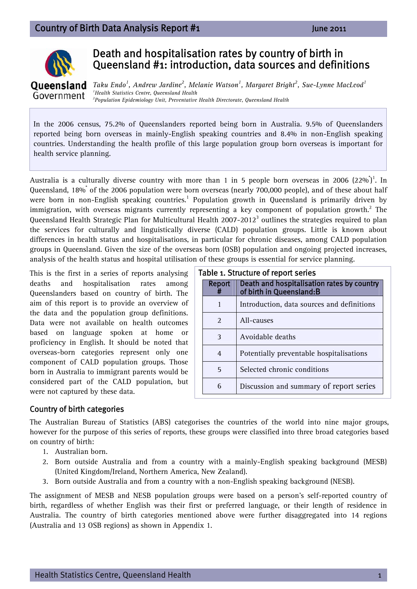

# Death and hospitalisation rates by country of birth in Queensland #1: introduction, data sources and definitions

Oueensland *Taku Endo<sup>1</sup>*, *Andrew Jardine<sup>2</sup>*, *Melanie Watson<sup>1</sup>, Margaret Bright<sup>2</sup>, Sue-Lynne MacLeod<sup>1</sup>*<br><sup>*1Health Statistics Centre Queensland Health*</sup> *Health Statistics Centre, Queensland Health*  Government *2 Population Epidemiology Unit, Preventative Health Directorate, Queensland Health* 

In the 2006 census, 75.2% of Queenslanders reported being born in Australia. 9.5% of Queenslanders reported being born overseas in mainly-English speaking countries and 8.4% in non-English speaking countries. Understanding the health profile of this large population group born overseas is important for health service planning.

Australia is a culturally diverse country with more than 1 in 5 people born overseas in 2006  $(22\%)^1$ . In Queensland, 18%<sup>\*</sup> of the 2006 population were born overseas (nearly 700,000 people), and of these about half were born in non-English speaking countries.<sup>1</sup> Population growth in Queensland is primarily driven by immigration, with overseas migrants currently representing a key component of population growth.<sup>2</sup> The Queensland Health Strategic Plan for Multicultural Health 2007-2012<sup>3</sup> outlines the strategies required to plan the services for culturally and linguistically diverse (CALD) population groups. Little is known about differences in health status and hospitalisations, in particular for chronic diseases, among CALD population groups in Queensland. Given the size of the overseas born (OSB) population and ongoing projected increases, analysis of the health status and hospital utilisation of these groups is essential for service planning.

This is the first in a series of reports analysing deaths and hospitalisation rates among Queenslanders based on country of birth. The aim of this report is to provide an overview of the data and the population group definitions. Data were not available on health outcomes based on language spoken at home or proficiency in English. It should be noted that overseas-born categories represent only one component of CALD population groups. Those born in Australia to immigrant parents would be considered part of the CALD population, but were not captured by these data.

| Table 1. Structure of report series |                       |                                                                        |  |
|-------------------------------------|-----------------------|------------------------------------------------------------------------|--|
|                                     | Report                | Death and hospitalisation rates by country<br>of birth in Queensland:B |  |
|                                     | 1                     | Introduction, data sources and definitions                             |  |
|                                     | $\mathcal{D}_{\cdot}$ | All-causes                                                             |  |
|                                     | 3                     | Avoidable deaths                                                       |  |
|                                     | 4                     | Potentially preventable hospitalisations                               |  |
|                                     | 5                     | Selected chronic conditions                                            |  |
|                                     | 6                     | Discussion and summary of report series                                |  |

### Country of birth categories

The Australian Bureau of Statistics (ABS) categorises the countries of the world into nine major groups, however for the purpose of this series of reports, these groups were classified into three broad categories based on country of birth:

- 1. Australian born.
- 2. Born outside Australia and from a country with a mainly-English speaking background (MESB) (United Kingdom/Ireland, Northern America, New Zealand).
- 3. Born outside Australia and from a country with a non-English speaking background (NESB).

The assignment of MESB and NESB population groups were based on a person's self-reported country of birth, regardless of whether English was their first or preferred language, or their length of residence in Australia. The country of birth categories mentioned above were further disaggregated into 14 regions (Australia and 13 OSB regions) as shown in Appendix 1.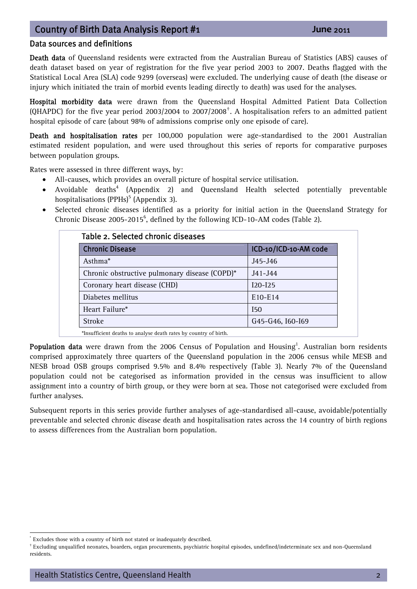### Data sources and definitions

Death data of Queensland residents were extracted from the Australian Bureau of Statistics (ABS) causes of death dataset based on year of registration for the five year period 2003 to 2007. Deaths flagged with the Statistical Local Area (SLA) code 9299 (overseas) were excluded. The underlying cause of death (the disease or injury which initiated the train of morbid events leading directly to death) was used for the analyses.

Hospital morbidity data were drawn from the Queensland Hospital Admitted Patient Data Collection (QHAPDC) for the five year period 2003/2004 to 2007/2008[†](#page-1-0) . A hospitalisation refers to an admitted patient hospital episode of care (about 98% of admissions comprise only one episode of care).

Death and hospitalisation rates per 100,000 population were age-standardised to the 2001 Australian estimated resident population, and were used throughout this series of reports for comparative purposes between population groups.

Rates were assessed in three different ways, by:

- All-causes, which provides an overall picture of hospital service utilisation.
- Avoidable deaths<sup>4</sup> (Appendix 2) and Queensland Health selected potentially preventable hospitalisations (PPHs)<sup>5</sup> (Appendix 3).
- Selected chronic diseases identified as a priority for initial action in the Queensland Strategy for Chronic Disease  $2005$ - $2015^6$ , defined by the following ICD-10-AM codes (Table 2).

| Table 2. Selected chronic diseases            |                       |  |  |  |
|-----------------------------------------------|-----------------------|--|--|--|
| <b>Chronic Disease</b>                        | ICD-10/ICD-10-AM code |  |  |  |
| Asthma <sup>*</sup>                           | $J45 - J46$           |  |  |  |
| Chronic obstructive pulmonary disease (COPD)* | $J41 - J44$           |  |  |  |
| Coronary heart disease (CHD)                  | $I20 - I25$           |  |  |  |
| Diabetes mellitus                             | $E10-E14$             |  |  |  |
| Heart Failure*                                | I50                   |  |  |  |
| <b>Stroke</b>                                 | G45-G46, I60-I69      |  |  |  |

\*Insufficient deaths to analyse death rates by country of birth.

Population data were drawn from the 2006 Census of Population and Housing<sup>1</sup>. Australian born residents comprised approximately three quarters of the Queensland population in the 2006 census while MESB and NESB broad OSB groups comprised 9.5% and 8.4% respectively (Table 3). Nearly 7% of the Queensland population could not be categorised as information provided in the census was insufficient to allow assignment into a country of birth group, or they were born at sea. Those not categorised were excluded from further analyses.

Subsequent reports in this series provide further analyses of age-standardised all-cause, avoidable/potentially preventable and selected chronic disease death and hospitalisation rates across the 14 country of birth regions to assess differences from the Australian born population.

 $\overline{a}$ Excludes those with a country of birth not stated or inadequately described.

<span id="page-1-0"></span><sup>†</sup> Excluding unqualified neonates, boarders, organ procurements, psychiatric hospital episodes, undefined/indeterminate sex and non-Queensland residents.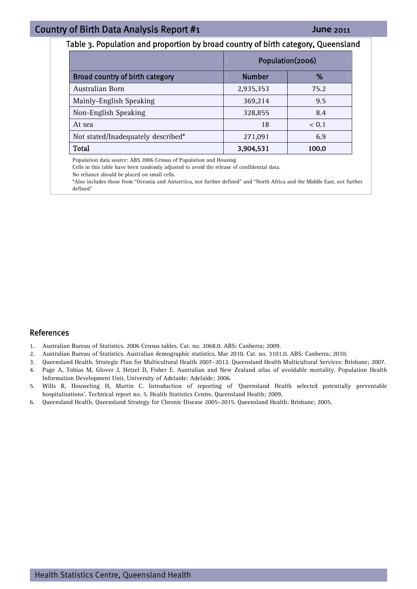#### Table 3. Population and proportion by broad country of birth category, Queensland

|                                    | Population(2006) |       |
|------------------------------------|------------------|-------|
| Broad country of birth category    | <b>Number</b>    | ℅     |
| Australian Born                    | 2,935,353        | 75.2  |
| Mainly-English Speaking            | 369,214          | 9.5   |
| Non-English Speaking               | 328,855          | 8.4   |
| At sea                             | 18               | < 0.1 |
| Not stated/Inadequately described* | 271,091          | 6.9   |
| Total                              | 3,904,531        | 100.0 |

Population data source: ABS 2006 Census of Population and Housing

Cells in this table have been randomly adjusted to avoid the release of confidential data.

No reliance should be placed on small cells.

\*Also includes those from "Oceania and Antarctica, not further defined" and "North Africa and the Middle East, not further defined"

#### References

- 1. Australian Bureau of Statistics. 2006 Census tables. Cat. no. 2068.0. ABS: Canberra; 2009.
- 2. Australian Bureau of Statistics. Australian demographic statistics, Mar 2010. Cat. no. 3101.0. ABS: Canberra; 2010.
- 3. Queensland Health. Strategic Plan for Multicultural Health 2007–2012. Queensland Health Multicultural Services: Brisbane; 2007.
- 4. Page A, Tobias M, Glover J, Hetzel D, Fisher E. Australian and New Zealand atlas of avoidable mortality. Population Health Information Development Unit. University of Adelaide: Adelaide; 2006.
- 5. Wills R, Houweling H, Martin C. Introduction of reporting of 'Queensland Health selected potentially preventable hospitalisations'. Technical report no. 5. Health Statistics Centre, Queensland Health; 2009.
- 6. Queensland Health. Queensland Strategy for Chronic Disease 2005–2015. Queensland Health: Brisbane; 2005.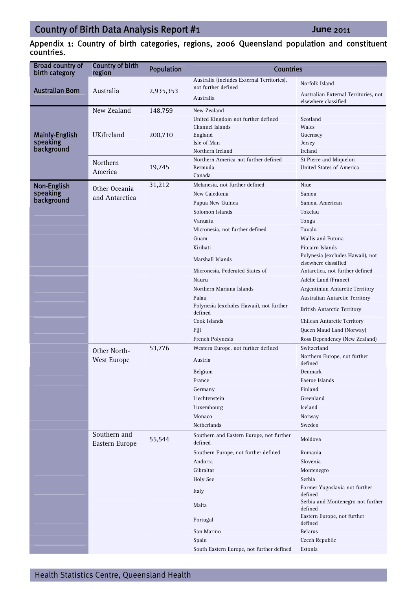Appendix 1: Country of birth categories, regions, 2006 Queensland population and constituent countries.

| <b>Broad country of</b><br>birth category | <b>Country of birth</b><br>region | <b>Population</b> | <b>Countries</b>                                                  |                                                              |
|-------------------------------------------|-----------------------------------|-------------------|-------------------------------------------------------------------|--------------------------------------------------------------|
|                                           |                                   |                   | Australia (includes External Territories),<br>not further defined | Norfolk Island                                               |
| <b>Australian Born</b>                    | Australia                         | 2,935,353         | Australia                                                         | Australian External Territories, not<br>elsewhere classified |
|                                           | New Zealand                       | 148,759           | New Zealand                                                       |                                                              |
|                                           |                                   |                   | United Kingdom not further defined                                | Scotland                                                     |
|                                           |                                   |                   | Channel Islands                                                   | Wales                                                        |
| <b>Mainly-English</b>                     | UK/Ireland                        | 200,710           | England                                                           | Guernsey                                                     |
| speaking<br>background                    |                                   |                   | Isle of Man<br>Northern Ireland                                   | Jersey<br>Ireland                                            |
|                                           |                                   |                   | Northern America not further defined                              | St Pierre and Miquelon                                       |
|                                           | Northern                          | 19,745            | Bermuda                                                           | United States of America                                     |
|                                           | America                           |                   | Canada                                                            |                                                              |
| Non-English                               | Other Oceania                     | 31,212            | Melanesia, not further defined                                    | Niue                                                         |
| speaking                                  | and Antarctica                    |                   | New Caledonia                                                     | Samoa                                                        |
| background                                |                                   |                   | Papua New Guinea                                                  | Samoa, American                                              |
|                                           |                                   |                   | Solomon Islands                                                   | Tokelau                                                      |
|                                           |                                   |                   | Vanuatu                                                           | Tonga                                                        |
|                                           |                                   |                   | Micronesia, not further defined                                   | Tuvalu                                                       |
|                                           |                                   |                   | Guam                                                              | Wallis and Futuna                                            |
|                                           |                                   |                   | Kiribati                                                          | Pitcairn Islands                                             |
|                                           |                                   |                   | Marshall Islands                                                  | Polynesia (excludes Hawaii), not<br>elsewhere classified     |
|                                           |                                   |                   | Micronesia, Federated States of                                   | Antarctica, not further defined                              |
|                                           |                                   |                   | Nauru                                                             | Adélie Land (France)                                         |
|                                           |                                   |                   | Northern Mariana Islands                                          | Argentinian Antarctic Territory                              |
|                                           |                                   |                   | Palau                                                             | Australian Antarctic Territory                               |
|                                           |                                   |                   | Polynesia (excludes Hawaii), not further<br>defined               | <b>British Antarctic Territory</b>                           |
|                                           |                                   |                   | Cook Islands                                                      | Chilean Antarctic Territory                                  |
|                                           |                                   |                   | Fiji                                                              | Queen Maud Land (Norway)                                     |
|                                           |                                   |                   | French Polynesia                                                  | Ross Dependency (New Zealand)                                |
|                                           | Other North-                      | 53,776            | Western Europe, not further defined                               | Switzerland                                                  |
|                                           | <b>West Europe</b>                |                   | Austria                                                           | Northern Europe, not further<br>defined                      |
|                                           |                                   |                   | Belgium                                                           | Denmark                                                      |
|                                           |                                   |                   | France                                                            | Faeroe Islands                                               |
|                                           |                                   |                   | Germany                                                           | Finland                                                      |
|                                           |                                   |                   | Liechtenstein                                                     | Greenland                                                    |
|                                           |                                   |                   | Luxembourg<br>Monaco                                              | Iceland<br>Norway                                            |
|                                           |                                   |                   | Netherlands                                                       | Sweden                                                       |
|                                           | Southern and<br>Eastern Europe    | 55,544            | Southern and Eastern Europe, not further<br>defined               | Moldova                                                      |
|                                           |                                   |                   | Southern Europe, not further defined                              | Romania                                                      |
|                                           |                                   |                   | Andorra                                                           | Slovenia                                                     |
|                                           |                                   |                   | Gibraltar                                                         | Montenegro                                                   |
|                                           |                                   |                   | <b>Holy See</b>                                                   | Serbia                                                       |
|                                           |                                   |                   | Italy                                                             | Former Yugoslavia not further<br>defined                     |
|                                           |                                   |                   | Malta                                                             | Serbia and Montenegro not further<br>defined                 |
|                                           |                                   |                   | Portugal                                                          | Eastern Europe, not further<br>defined                       |
|                                           |                                   |                   | San Marino                                                        | <b>Belarus</b>                                               |
|                                           |                                   |                   | Spain                                                             | Czech Republic                                               |
|                                           |                                   |                   | South Eastern Europe, not further defined                         | Estonia                                                      |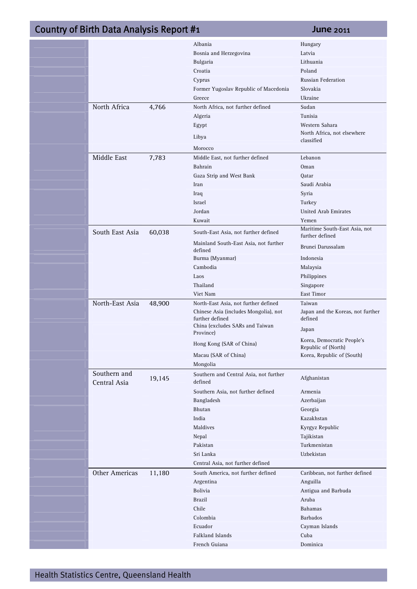|                       |        | Albania                                      | Hungary                                           |
|-----------------------|--------|----------------------------------------------|---------------------------------------------------|
|                       |        | Bosnia and Herzegovina                       | Latvia                                            |
|                       |        | Bulgaria                                     | Lithuania                                         |
|                       |        | Croatia                                      | Poland                                            |
|                       |        | Cyprus                                       | Russian Federation                                |
|                       |        | Former Yugoslav Republic of Macedonia        | Slovakia                                          |
|                       |        | Greece                                       | Ukraine                                           |
| North Africa          | 4,766  | North Africa, not further defined            | Sudan                                             |
|                       |        | Algeria                                      | Tunisia                                           |
|                       |        | Egypt                                        | Western Sahara                                    |
|                       |        | Libya                                        | North Africa, not elsewhere<br>classified         |
|                       |        | Morocco                                      |                                                   |
| Middle East           | 7,783  | Middle East, not further defined             | Lebanon                                           |
|                       |        | Bahrain                                      | Oman                                              |
|                       |        | Gaza Strip and West Bank                     | Qatar                                             |
|                       |        | Iran                                         | Saudi Arabia                                      |
|                       |        | Iraq                                         | Syria                                             |
|                       |        | Israel                                       | Turkey                                            |
|                       |        | Jordan                                       | <b>United Arab Emirates</b>                       |
|                       |        | Kuwait                                       | Yemen                                             |
| South East Asia       | 60,038 | South-East Asia, not further defined         | Maritime South-East Asia, not<br>further defined  |
|                       |        | Mainland South-East Asia, not further        |                                                   |
|                       |        | defined<br>Burma (Myanmar)                   | Brunei Darussalam<br>Indonesia                    |
|                       |        | Cambodia                                     | Malaysia                                          |
|                       |        | Laos                                         | Philippines                                       |
|                       |        | Thailand                                     | Singapore                                         |
|                       |        | Viet Nam                                     | East Timor                                        |
| North-East Asia       |        | North-East Asia, not further defined         | Taiwan                                            |
|                       | 48,900 | Chinese Asia (includes Mongolia), not        | Japan and the Koreas, not further                 |
|                       |        | further defined                              | defined                                           |
|                       |        | China (excludes SARs and Taiwan<br>Province) | Japan                                             |
|                       |        | Hong Kong (SAR of China)                     | Korea, Democratic People's<br>Republic of (North) |
|                       |        | Macau (SAR of China)                         | Korea, Republic of (South)                        |
|                       |        | Mongolia                                     |                                                   |
| Southern and          |        | Southern and Central Asia, not further       |                                                   |
| Central Asia          | 19,145 | defined                                      | Afghanistan                                       |
|                       |        | Southern Asia, not further defined           | Armenia                                           |
|                       |        | Bangladesh                                   | Azerbaijan                                        |
|                       |        | Bhutan                                       | Georgia                                           |
|                       |        | India                                        | Kazakhstan                                        |
|                       |        | Maldives                                     | Kyrgyz Republic                                   |
|                       |        | Nepal                                        | Tajikistan                                        |
|                       |        | Pakistan                                     | Turkmenistan                                      |
|                       |        | Sri Lanka                                    | Uzbekistan                                        |
|                       |        | Central Asia, not further defined            |                                                   |
| <b>Other Americas</b> | 11,180 | South America, not further defined           | Caribbean, not further defined                    |
|                       |        | Argentina                                    | Anguilla                                          |
|                       |        | Bolivia                                      | Antigua and Barbuda                               |
|                       |        | <b>Brazil</b>                                | Aruba                                             |
|                       |        | Chile                                        | <b>Bahamas</b>                                    |
|                       |        | Colombia                                     | <b>Barbados</b>                                   |
|                       |        | Ecuador                                      | Cayman Islands                                    |
|                       |        | Falkland Islands                             | Cuba                                              |
|                       |        | French Guiana                                | Dominica                                          |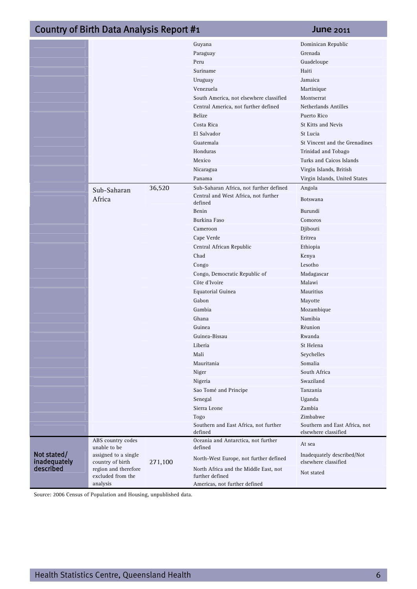# **15/06/2011 Country of Birth Data Analysis Report #1 <b>1 <b>11/06/2011** June 2011

|                             |                                                       |         | Guyana                                                                                    | Dominican Republic                                    |
|-----------------------------|-------------------------------------------------------|---------|-------------------------------------------------------------------------------------------|-------------------------------------------------------|
|                             |                                                       |         | Paraguay                                                                                  | Grenada                                               |
|                             |                                                       |         | Peru                                                                                      | Guadeloupe                                            |
|                             |                                                       |         | Suriname                                                                                  | Haiti                                                 |
|                             |                                                       |         | Uruguay                                                                                   | Jamaica                                               |
|                             |                                                       |         | Venezuela                                                                                 | Martinique                                            |
|                             |                                                       |         | South America, not elsewhere classified                                                   | Montserrat                                            |
|                             |                                                       |         | Central America, not further defined                                                      | Netherlands Antilles                                  |
|                             |                                                       |         | <b>Belize</b>                                                                             | Puerto Rico                                           |
|                             |                                                       |         | Costa Rica                                                                                | St Kitts and Nevis                                    |
|                             |                                                       |         | El Salvador                                                                               | St Lucia                                              |
|                             |                                                       |         | Guatemala                                                                                 | St Vincent and the Grenadines                         |
|                             |                                                       |         | Honduras                                                                                  | Trinidad and Tobago                                   |
|                             |                                                       |         | Mexico                                                                                    | Turks and Caicos Islands                              |
|                             |                                                       |         | Nicaragua                                                                                 | Virgin Islands, British                               |
|                             |                                                       |         | Panama                                                                                    | Virgin Islands, United States                         |
|                             |                                                       | 36,520  | Sub-Saharan Africa, not further defined                                                   | Angola                                                |
|                             | Sub-Saharan                                           |         | Central and West Africa, not further                                                      |                                                       |
|                             | Africa                                                |         | defined                                                                                   | <b>Botswana</b>                                       |
|                             |                                                       |         | Benin                                                                                     | Burundi                                               |
|                             |                                                       |         | Burkina Faso                                                                              | Comoros                                               |
|                             |                                                       |         | Cameroon                                                                                  | Djibouti                                              |
|                             |                                                       |         | Cape Verde                                                                                | Eritrea                                               |
|                             |                                                       |         | Central African Republic                                                                  | Ethiopia                                              |
|                             |                                                       |         | Chad                                                                                      | Kenya                                                 |
|                             |                                                       |         | Congo                                                                                     | Lesotho                                               |
|                             |                                                       |         | Congo, Democratic Republic of                                                             | Madagascar                                            |
|                             |                                                       |         | Côte d'Ivoire                                                                             | Malawi                                                |
|                             |                                                       |         | Equatorial Guinea                                                                         | Mauritius                                             |
|                             |                                                       |         | Gabon                                                                                     | Mayotte                                               |
|                             |                                                       |         | Gambia                                                                                    | Mozambique                                            |
|                             |                                                       |         | Ghana                                                                                     | Namibia                                               |
|                             |                                                       |         | Guinea                                                                                    | Réunion                                               |
|                             |                                                       |         | Guinea-Bissau                                                                             | Rwanda                                                |
|                             |                                                       |         | Liberia                                                                                   | St Helena                                             |
|                             |                                                       |         | Mali                                                                                      | Seychelles                                            |
|                             |                                                       |         | Mauritania                                                                                | Somalia                                               |
|                             |                                                       |         | Niger                                                                                     | South Africa                                          |
|                             |                                                       |         | Nigeria                                                                                   | Swaziland                                             |
|                             |                                                       |         | Sao Tomé and Principe                                                                     | Tanzania                                              |
|                             |                                                       |         | Senegal                                                                                   | Uganda                                                |
|                             |                                                       |         | Sierra Leone                                                                              | Zambia                                                |
|                             |                                                       |         | Togo                                                                                      | Zimbabwe                                              |
|                             |                                                       |         | Southern and East Africa, not further<br>defined                                          | Southern and East Africa, not<br>elsewhere classified |
|                             | ABS country codes<br>unable to be                     |         | Oceania and Antarctica, not further<br>defined                                            | At sea                                                |
| Not stated/<br>inadequately | assigned to a single<br>country of birth              | 271,100 | North-West Europe, not further defined                                                    | Inadequately described/Not<br>elsewhere classified    |
| described                   | region and therefore<br>excluded from the<br>analysis |         | North Africa and the Middle East, not<br>further defined<br>Americas, not further defined | Not stated                                            |

Source: 2006 Census of Population and Housing, unpublished data.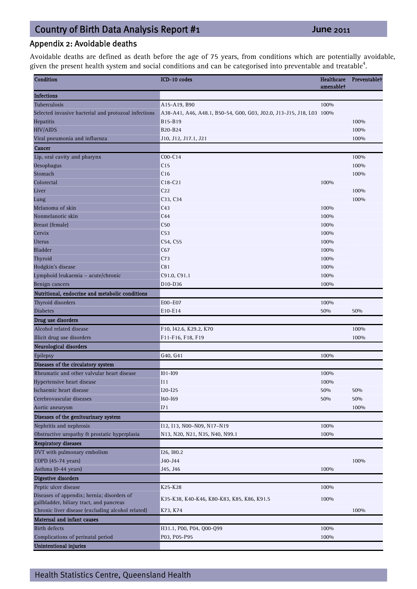# Appendix 2: Avoidable deaths

Avoidable deaths are defined as death before the age of 75 years, from conditions which are potentially avoidable, given the present health system and social conditions and can be categorised into preventable and treatable<sup>4</sup>.

| Condition                                            | ICD-10 codes                                                         | <b>Healthcare</b><br>amenablet | Preventablet |
|------------------------------------------------------|----------------------------------------------------------------------|--------------------------------|--------------|
| <b>Infections</b>                                    |                                                                      |                                |              |
| Tuberculosis                                         | A15-A19, B90                                                         | 100%                           |              |
| Selected invasive bacterial and protozoal infections | A38-A41, A46, A48.1, B50-54, G00, G03, J02.0, J13-J15, J18, L03 100% |                                |              |
| Hepatitis                                            | B15-B19                                                              |                                | 100%         |
| <b>HIV/AIDS</b>                                      | B20-B24                                                              |                                | 100%         |
| Viral pneumonia and influenza                        | J10, J12, J17.1, J21                                                 |                                | 100%         |
| Cancer                                               |                                                                      |                                |              |
| Lip, oral cavity and pharynx                         | $COO-C14$                                                            |                                | 100%         |
| Oesophagus                                           | C15                                                                  |                                | 100%         |
| Stomach                                              | C16                                                                  |                                | 100%         |
| Colorectal                                           | $C18-C21$                                                            | 100%                           |              |
| Liver                                                | C <sub>22</sub>                                                      |                                | 100%         |
| Lung                                                 | C33, C34                                                             |                                | 100%         |
| Melanoma of skin                                     | C <sub>43</sub>                                                      | 100%                           |              |
| Nonmelanotic skin                                    | C44                                                                  | 100%                           |              |
| Breast (female)                                      | C50                                                                  | 100%                           |              |
| Cervix                                               | C53                                                                  | 100%                           |              |
| <b>Uterus</b>                                        | C54, C55                                                             | 100%                           |              |
| <b>Bladder</b>                                       | C67                                                                  | 100%                           |              |
| Thyroid                                              | C <sub>73</sub>                                                      | 100%                           |              |
| Hodgkin's disease                                    | C81                                                                  | 100%                           |              |
| Lymphoid leukaemia - acute/chronic                   | C91.0, C91.1                                                         | 100%                           |              |
| Benign cancers                                       | D <sub>10</sub> -D <sub>36</sub>                                     | 100%                           |              |
| Nutritional, endocrine and metabolic conditions      |                                                                      |                                |              |
| Thyroid disorders                                    | E00-E07                                                              | 100%                           |              |
| <b>Diabetes</b>                                      | E10-E14                                                              | 50%                            | 50%          |
| Drug use disorders                                   |                                                                      |                                |              |
| Alcohol related disease                              | F10, I42.6, K29.2, K70                                               |                                | 100%         |
| Illicit drug use disorders                           | F11-F16, F18, F19                                                    |                                | 100%         |
|                                                      |                                                                      |                                |              |
| Neurological disorders                               |                                                                      |                                |              |
| Epilepsy                                             | G40, G41                                                             | 100%                           |              |
| Diseases of the circulatory system                   |                                                                      |                                |              |
| Rheumatic and other valvular heart disease           | $IO1-I09$                                                            | 100%                           |              |
| Hypertensive heart disease                           | I11                                                                  | 100%                           |              |
| Ischaemic heart disease                              | $120 - 125$                                                          | 50%                            | 50%          |
| Cerebrovascular diseases                             | I60-I69                                                              | 50%                            | 50%          |
| Aortic aneurysm                                      | I71                                                                  |                                | 100%         |
| Diseases of the genitourinary system                 |                                                                      |                                |              |
| Nephritis and nephrosis                              | I12, I13, N00-N09, N17-N19                                           | 100%                           |              |
| Obstructive uropathy & prostatic hyperplasia         | N13, N20, N21, N35, N40, N99.1                                       | 100%                           |              |
| <b>Respiratory diseases</b>                          |                                                                      |                                |              |
| DVT with pulmonary embolism                          | I26, I80.2                                                           |                                |              |
| COPD (45-74 years)                                   | J40-J44                                                              |                                | 100%         |
| Asthma (0-44 years)                                  | J45, J46                                                             | 100%                           |              |
| <b>Digestive disorders</b>                           |                                                                      |                                |              |
| Peptic ulcer disease                                 | K25-K28                                                              | 100%                           |              |
| Diseases of appendix; hernia; disorders of           | K35-K38, K40-K46, K80-K83, K85, K86, K91.5                           | 100%                           |              |
| gallbladder, biliary tract, and pancreas             |                                                                      |                                |              |
| Chronic liver disease (excluding alcohol related)    | K73, K74                                                             |                                | 100%         |
| Maternal and infant causes                           |                                                                      |                                |              |
| <b>Birth defects</b>                                 | H31.1, P00, P04, Q00-Q99                                             | 100%                           |              |
| Complications of perinatal period                    | P03, P05-P95                                                         | 100%                           |              |
| <b>Unintentional injuries</b>                        |                                                                      |                                |              |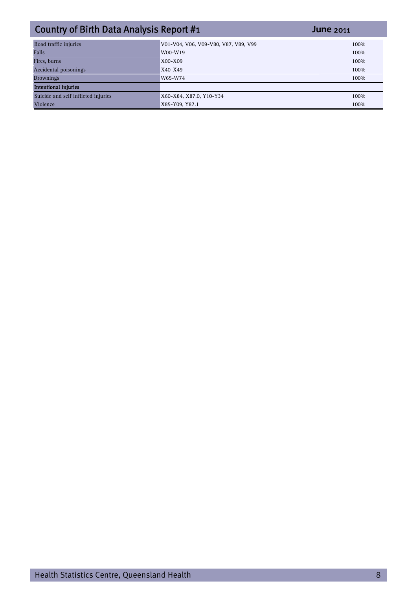| Country of Birth Data Analysis Report #1 |                                      | <b>June 2011</b> |
|------------------------------------------|--------------------------------------|------------------|
| Road traffic injuries                    | V01-V04, V06, V09-V80, V87, V89, V99 | 100%             |
| Falls                                    | W00-W19                              | 100%             |
| Fires, burns                             | $X00 - X09$                          | 100%             |
| Accidental poisonings                    | $X40 - X49$                          | 100%             |
| Drownings                                | W65-W74                              | 100%             |
| <b>Intentional injuries</b>              |                                      |                  |
| Suicide and self inflicted injuries      | X60-X84, X87.0, Y10-Y34              | 100%             |
| Violence                                 | X85-Y09, Y87.1                       | 100%             |